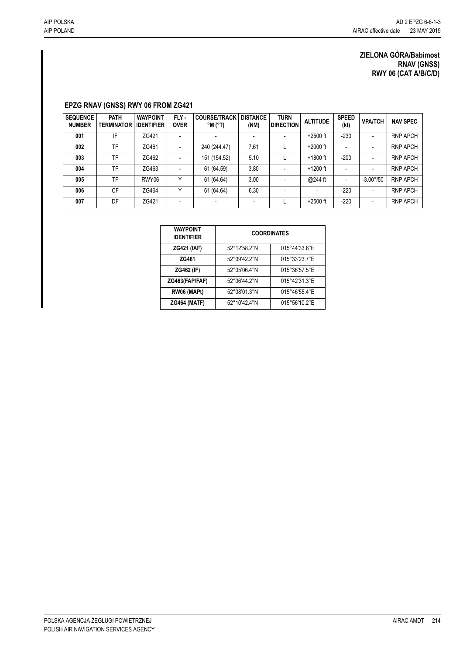## **EPZG RNAV (GNSS) RWY 06 FROM ZG421**

| <b>SEQUENCE</b><br><b>NUMBER</b> | <b>PATH</b><br><b>TERMINATOR</b> | <b>WAYPOINT</b><br><b>IDENTIFIER</b> | FLY -<br><b>OVER</b>     | <b>COURSE/TRACK</b><br>$^{\circ}$ M ( $^{\circ}$ T) | <b>DISTANCE</b><br>(NM) | <b>TURN</b><br><b>DIRECTION</b> | <b>ALTITUDE</b> | <b>SPEED</b><br>(kt)     | <b>VPA/TCH</b>           | <b>NAV SPEC</b> |
|----------------------------------|----------------------------------|--------------------------------------|--------------------------|-----------------------------------------------------|-------------------------|---------------------------------|-----------------|--------------------------|--------------------------|-----------------|
| 001                              | IF                               | ZG421                                | $\blacksquare$           |                                                     |                         |                                 | $+2500$ ft      | $-230$                   | $\overline{\phantom{a}}$ | <b>RNP APCH</b> |
| 002                              | TF                               | ZG461                                | $\overline{\phantom{a}}$ | 240 (244.47)                                        | 7.61                    |                                 | $+2000$ ft      |                          | $\overline{\phantom{a}}$ | <b>RNP APCH</b> |
| 003                              | TF                               | ZG462                                | $\blacksquare$           | 151 (154.52)                                        | 5.10                    |                                 | $+1800$ ft      | $-200$                   | $\overline{\phantom{a}}$ | <b>RNP APCH</b> |
| 004                              | TF                               | ZG463                                | $\overline{\phantom{a}}$ | 61 (64.59)                                          | 3.80                    |                                 | $+1200$ ft      |                          | $\overline{\phantom{a}}$ | <b>RNP APCH</b> |
| 005                              | TF                               | RWY06                                | v                        | 61 (64.64)                                          | 3.00                    |                                 | @244 ft         | $\overline{\phantom{a}}$ | $-3.00^{\circ}/50$       | <b>RNP APCH</b> |
| 006                              | <b>CF</b>                        | ZG464                                | v                        | 61 (64.64)                                          | 6.30                    |                                 |                 | $-220$                   | $\overline{\phantom{a}}$ | <b>RNP APCH</b> |
| 007                              | DF                               | ZG421                                | $\overline{\phantom{a}}$ |                                                     |                         |                                 | $+2500$ ft      | $-220$                   | $\overline{\phantom{a}}$ | <b>RNP APCH</b> |

| <b>WAYPOINT</b><br><b>IDENTIFIER</b> | <b>COORDINATES</b> |               |  |  |  |  |
|--------------------------------------|--------------------|---------------|--|--|--|--|
| <b>ZG421 (IAF)</b>                   | 52°12'58.2"N       | 015°44'33.6"E |  |  |  |  |
| ZG461                                | 52°09'42.2"N       | 015°33'23.7"E |  |  |  |  |
| <b>ZG462 (IF)</b>                    | 52°05'06.4"N       | 015°36'57.5"E |  |  |  |  |
| ZG463(FAP/FAF)                       | 52°06'44.2"N       | 015°42'31.3"E |  |  |  |  |
| RW06 (MAPt)                          | 52°08'01.3"N       | 015°46'55.4"E |  |  |  |  |
| <b>ZG464 (MATF)</b>                  | 52°10'42.4"N       | 015°56'10.2"E |  |  |  |  |